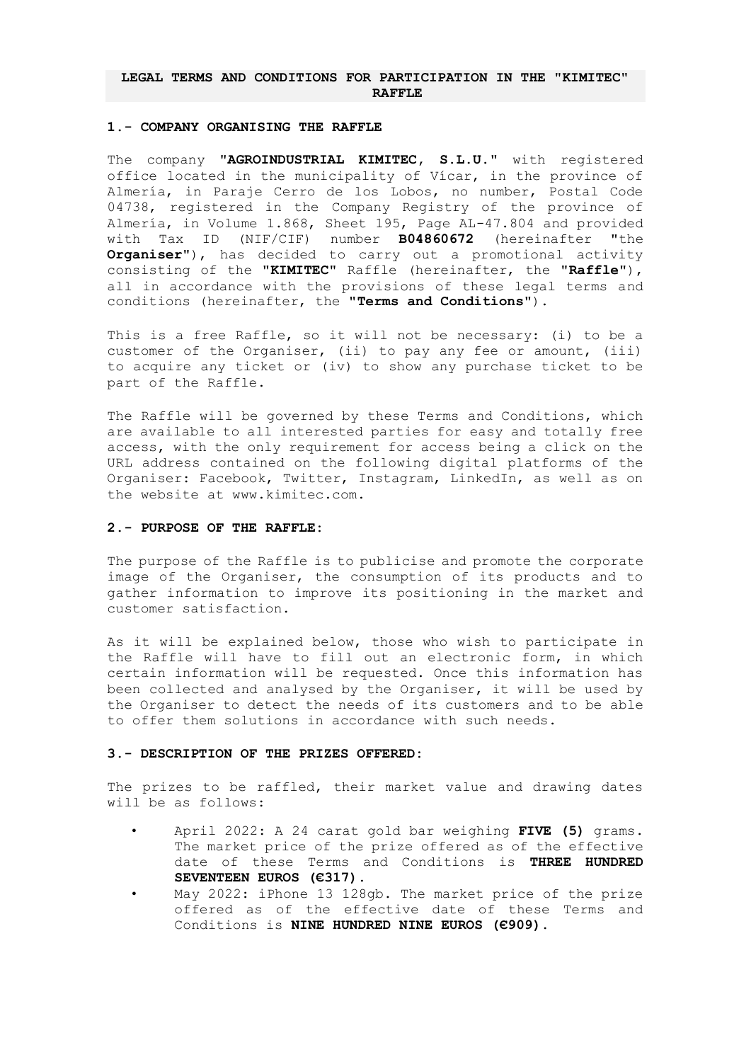## **LEGAL TERMS AND CONDITIONS FOR PARTICIPATION IN THE "KIMITEC" RAFFLE**

#### **1.- COMPANY ORGANISING THE RAFFLE**

The company "**AGROINDUSTRIAL KIMITEC, S.L.U.**" with registered office located in the municipality of Vícar, in the province of Almería, in Paraje Cerro de los Lobos, no number, Postal Code 04738, registered in the Company Registry of the province of Almería, in Volume 1.868, Sheet 195, Page AL-47.804 and provided with Tax ID (NIF/CIF) number **B04860672** (hereinafter "the **Organiser**"), has decided to carry out a promotional activity consisting of the "**KIMITEC**" Raffle (hereinafter, the "**Raffle**"), all in accordance with the provisions of these legal terms and conditions (hereinafter, the "**Terms and Conditions**").

This is a free Raffle, so it will not be necessary: (i) to be a customer of the Organiser, (ii) to pay any fee or amount, (iii) to acquire any ticket or (iv) to show any purchase ticket to be part of the Raffle.

The Raffle will be governed by these Terms and Conditions, which are available to all interested parties for easy and totally free access, with the only requirement for access being a click on the URL address contained on the following digital platforms of the Organiser: Facebook, Twitter, Instagram, LinkedIn, as well as on the website at www.kimitec.com.

### **2.- PURPOSE OF THE RAFFLE:**

The purpose of the Raffle is to publicise and promote the corporate image of the Organiser, the consumption of its products and to gather information to improve its positioning in the market and customer satisfaction.

As it will be explained below, those who wish to participate in the Raffle will have to fill out an electronic form, in which certain information will be requested. Once this information has been collected and analysed by the Organiser, it will be used by the Organiser to detect the needs of its customers and to be able to offer them solutions in accordance with such needs.

#### **3.- DESCRIPTION OF THE PRIZES OFFERED:**

The prizes to be raffled, their market value and drawing dates will be as follows:

- April 2022: A 24 carat gold bar weighing **FIVE (5)** grams. The market price of the prize offered as of the effective date of these Terms and Conditions is **THREE HUNDRED SEVENTEEN EUROS (€317)**.
- May 2022: iPhone 13 128gb. The market price of the prize offered as of the effective date of these Terms and Conditions is **NINE HUNDRED NINE EUROS (€909)**.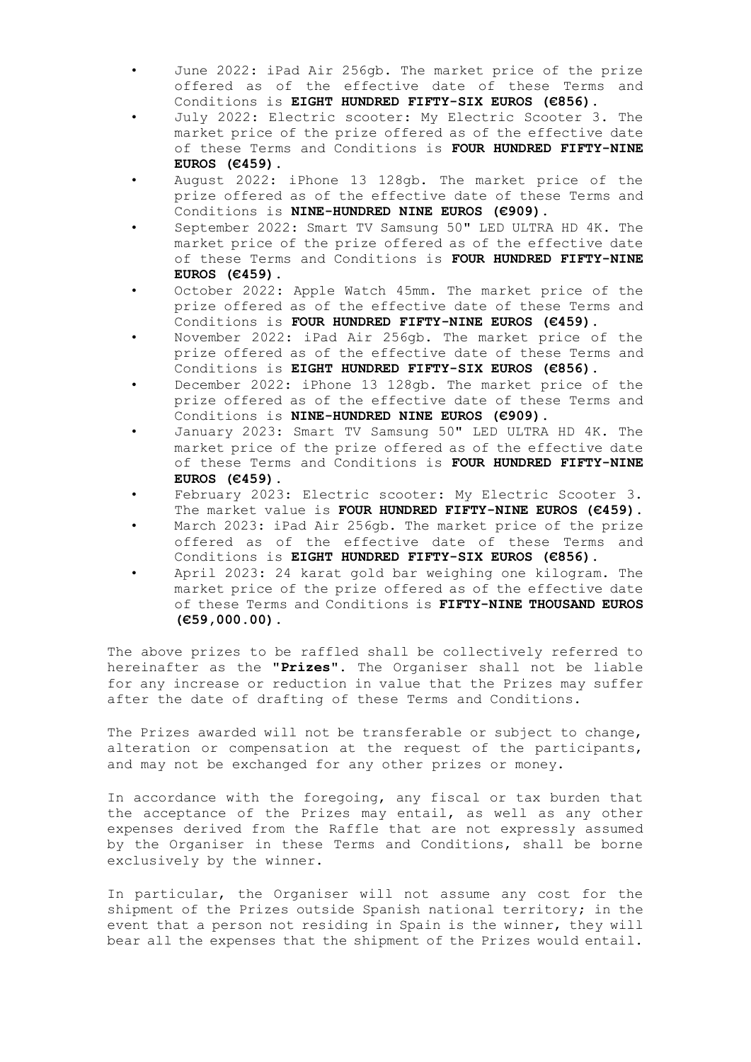- June 2022: iPad Air 256gb. The market price of the prize offered as of the effective date of these Terms and Conditions is **EIGHT HUNDRED FIFTY-SIX EUROS (€856)**.
- July 2022: Electric scooter: My Electric Scooter 3. The market price of the prize offered as of the effective date of these Terms and Conditions is **FOUR HUNDRED FIFTY-NINE EUROS (€459)**.
- August 2022: iPhone 13 128gb. The market price of the prize offered as of the effective date of these Terms and Conditions is **NINE-HUNDRED NINE EUROS (€909)**.
- September 2022: Smart TV Samsung 50" LED ULTRA HD 4K. The market price of the prize offered as of the effective date of these Terms and Conditions is **FOUR HUNDRED FIFTY-NINE EUROS (€459)**.
- October 2022: Apple Watch 45mm. The market price of the prize offered as of the effective date of these Terms and Conditions is **FOUR HUNDRED FIFTY-NINE EUROS (€459)**.
- November 2022: iPad Air 256gb. The market price of the prize offered as of the effective date of these Terms and Conditions is **EIGHT HUNDRED FIFTY-SIX EUROS (€856)**.
- December 2022: iPhone 13 128gb. The market price of the prize offered as of the effective date of these Terms and Conditions is **NINE-HUNDRED NINE EUROS (€909)**.
- January 2023: Smart TV Samsung 50" LED ULTRA HD 4K. The market price of the prize offered as of the effective date of these Terms and Conditions is **FOUR HUNDRED FIFTY-NINE EUROS (€459)**.
- February 2023: Electric scooter: My Electric Scooter 3. The market value is **FOUR HUNDRED FIFTY-NINE EUROS (€459)**.
- March 2023: iPad Air 256gb. The market price of the prize offered as of the effective date of these Terms and Conditions is **EIGHT HUNDRED FIFTY-SIX EUROS (€856)**.
- April 2023: 24 karat gold bar weighing one kilogram. The market price of the prize offered as of the effective date of these Terms and Conditions is **FIFTY-NINE THOUSAND EUROS (€59,000.00)**.

The above prizes to be raffled shall be collectively referred to hereinafter as the "**Prizes"**. The Organiser shall not be liable for any increase or reduction in value that the Prizes may suffer after the date of drafting of these Terms and Conditions.

The Prizes awarded will not be transferable or subject to change, alteration or compensation at the request of the participants, and may not be exchanged for any other prizes or money.

In accordance with the foregoing, any fiscal or tax burden that the acceptance of the Prizes may entail, as well as any other expenses derived from the Raffle that are not expressly assumed by the Organiser in these Terms and Conditions, shall be borne exclusively by the winner.

In particular, the Organiser will not assume any cost for the shipment of the Prizes outside Spanish national territory; in the event that a person not residing in Spain is the winner, they will bear all the expenses that the shipment of the Prizes would entail.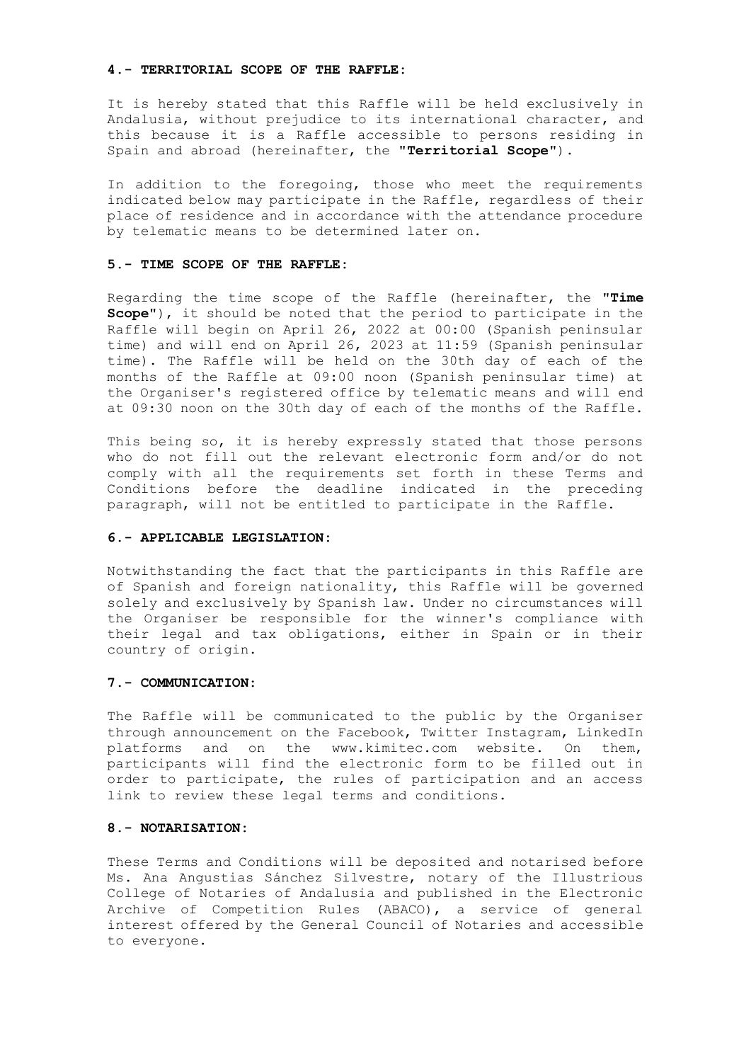#### **4.- TERRITORIAL SCOPE OF THE RAFFLE:**

It is hereby stated that this Raffle will be held exclusively in Andalusia, without prejudice to its international character, and this because it is a Raffle accessible to persons residing in Spain and abroad (hereinafter, the "**Territorial Scope**").

In addition to the foregoing, those who meet the requirements indicated below may participate in the Raffle, regardless of their place of residence and in accordance with the attendance procedure by telematic means to be determined later on.

### **5.- TIME SCOPE OF THE RAFFLE:**

Regarding the time scope of the Raffle (hereinafter, the "**Time Scope**"), it should be noted that the period to participate in the Raffle will begin on April 26, 2022 at 00:00 (Spanish peninsular time) and will end on April 26, 2023 at 11:59 (Spanish peninsular time). The Raffle will be held on the 30th day of each of the months of the Raffle at 09:00 noon (Spanish peninsular time) at the Organiser's registered office by telematic means and will end at 09:30 noon on the 30th day of each of the months of the Raffle.

This being so, it is hereby expressly stated that those persons who do not fill out the relevant electronic form and/or do not comply with all the requirements set forth in these Terms and Conditions before the deadline indicated in the preceding paragraph, will not be entitled to participate in the Raffle.

#### **6.- APPLICABLE LEGISLATION:**

Notwithstanding the fact that the participants in this Raffle are of Spanish and foreign nationality, this Raffle will be governed solely and exclusively by Spanish law. Under no circumstances will the Organiser be responsible for the winner's compliance with their legal and tax obligations, either in Spain or in their country of origin.

### **7.- COMMUNICATION:**

The Raffle will be communicated to the public by the Organiser through announcement on the Facebook, Twitter Instagram, LinkedIn platforms and on the www.kimitec.com website. On them, participants will find the electronic form to be filled out in order to participate, the rules of participation and an access link to review these legal terms and conditions.

### **8.- NOTARISATION:**

These Terms and Conditions will be deposited and notarised before Ms. Ana Angustias Sánchez Silvestre, notary of the Illustrious College of Notaries of Andalusia and published in the Electronic Archive of Competition Rules (ABACO), a service of general interest offered by the General Council of Notaries and accessible to everyone.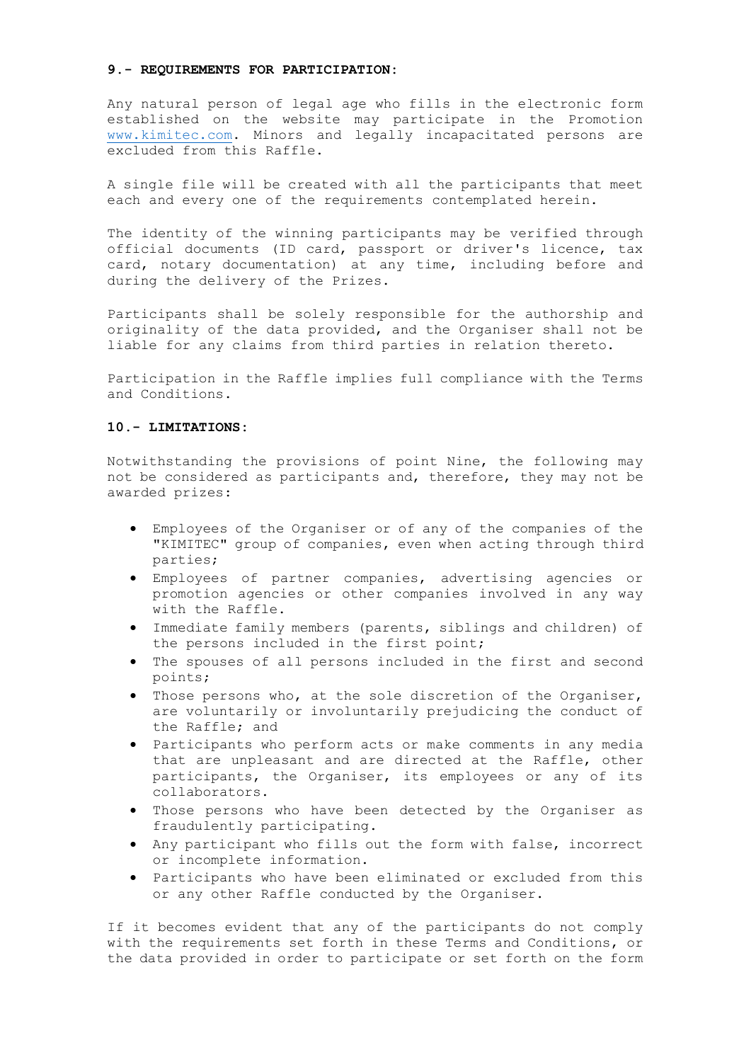#### **9.- REQUIREMENTS FOR PARTICIPATION:**

Any natural person of legal age who fills in the electronic form established on the website may participate in the Promotion [www.kimitec.com.](http://www.kimitec.com/) Minors and legally incapacitated persons are excluded from this Raffle.

A single file will be created with all the participants that meet each and every one of the requirements contemplated herein.

The identity of the winning participants may be verified through official documents (ID card, passport or driver's licence, tax card, notary documentation) at any time, including before and during the delivery of the Prizes.

Participants shall be solely responsible for the authorship and originality of the data provided, and the Organiser shall not be liable for any claims from third parties in relation thereto.

Participation in the Raffle implies full compliance with the Terms and Conditions.

## **10.- LIMITATIONS:**

Notwithstanding the provisions of point Nine, the following may not be considered as participants and, therefore, they may not be awarded prizes:

- Employees of the Organiser or of any of the companies of the "KIMITEC" group of companies, even when acting through third parties;
- Employees of partner companies, advertising agencies or promotion agencies or other companies involved in any way with the Raffle.
- Immediate family members (parents, siblings and children) of the persons included in the first point;
- In the spouses of all persons included in the first and second points;
- Those persons who, at the sole discretion of the Organiser, are voluntarily or involuntarily prejudicing the conduct of the Raffle; and
- Participants who perform acts or make comments in any media that are unpleasant and are directed at the Raffle, other participants, the Organiser, its employees or any of its collaborators.
- Those persons who have been detected by the Organiser as fraudulently participating.
- Any participant who fills out the form with false, incorrect or incomplete information.
- Participants who have been eliminated or excluded from this or any other Raffle conducted by the Organiser.

If it becomes evident that any of the participants do not comply with the requirements set forth in these Terms and Conditions, or the data provided in order to participate or set forth on the form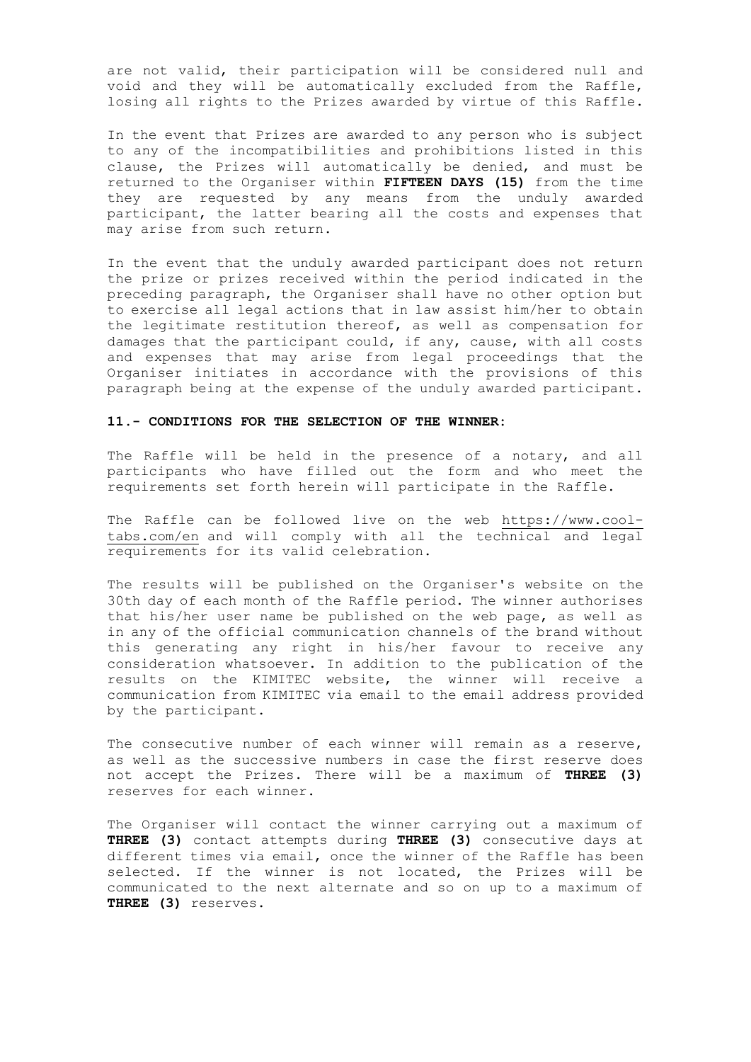are not valid, their participation will be considered null and void and they will be automatically excluded from the Raffle, losing all rights to the Prizes awarded by virtue of this Raffle.

In the event that Prizes are awarded to any person who is subject to any of the incompatibilities and prohibitions listed in this clause, the Prizes will automatically be denied, and must be returned to the Organiser within **FIFTEEN DAYS (15)** from the time they are requested by any means from the unduly awarded participant, the latter bearing all the costs and expenses that may arise from such return.

In the event that the unduly awarded participant does not return the prize or prizes received within the period indicated in the preceding paragraph, the Organiser shall have no other option but to exercise all legal actions that in law assist him/her to obtain the legitimate restitution thereof, as well as compensation for damages that the participant could, if any, cause, with all costs and expenses that may arise from legal proceedings that the Organiser initiates in accordance with the provisions of this paragraph being at the expense of the unduly awarded participant.

## **11.- CONDITIONS FOR THE SELECTION OF THE WINNER:**

The Raffle will be held in the presence of a notary, and all participants who have filled out the form and who meet the requirements set forth herein will participate in the Raffle.

The Raffle can be followed live on the web [https://www.cool](https://www.cool-tabs.com/en)[tabs.com/en](https://www.cool-tabs.com/en) and will comply with all the technical and legal requirements for its valid celebration.

The results will be published on the Organiser's website on the 30th day of each month of the Raffle period. The winner authorises that his/her user name be published on the web page, as well as in any of the official communication channels of the brand without this generating any right in his/her favour to receive any consideration whatsoever. In addition to the publication of the results on the KIMITEC website, the winner will receive a communication from KIMITEC via email to the email address provided by the participant.

The consecutive number of each winner will remain as a reserve, as well as the successive numbers in case the first reserve does not accept the Prizes. There will be a maximum of **THREE (3)** reserves for each winner.

The Organiser will contact the winner carrying out a maximum of **THREE (3)** contact attempts during **THREE (3)** consecutive days at different times via email, once the winner of the Raffle has been selected. If the winner is not located, the Prizes will be communicated to the next alternate and so on up to a maximum of **THREE (3)** reserves.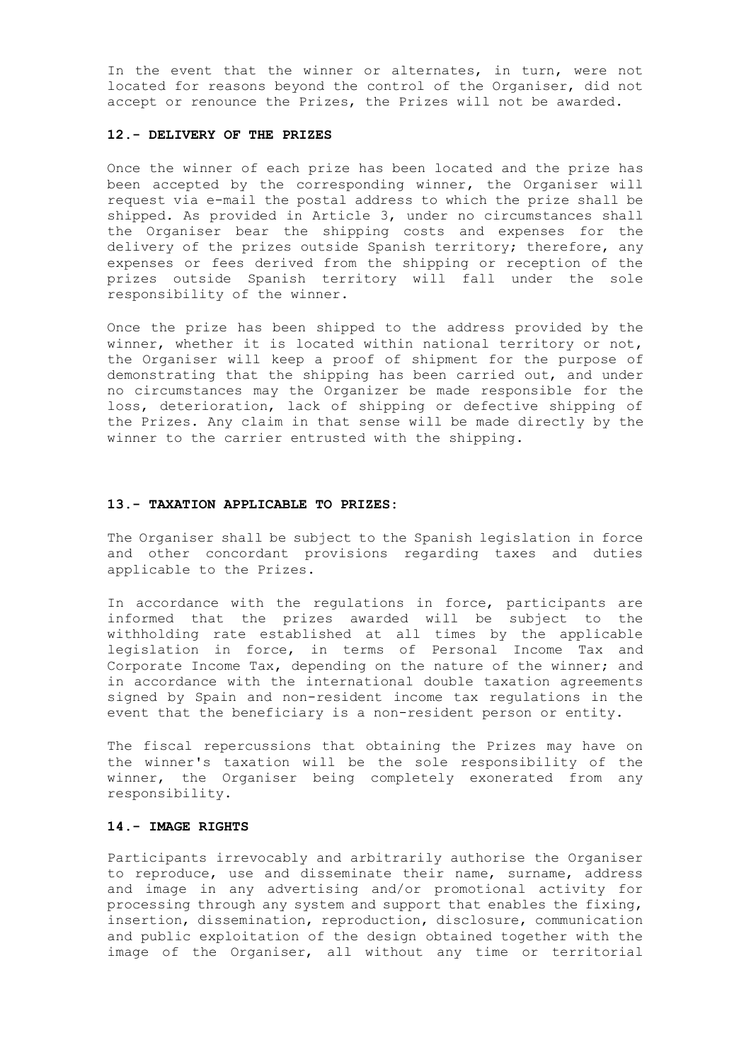In the event that the winner or alternates, in turn, were not located for reasons beyond the control of the Organiser, did not accept or renounce the Prizes, the Prizes will not be awarded.

### **12.- DELIVERY OF THE PRIZES**

Once the winner of each prize has been located and the prize has been accepted by the corresponding winner, the Organiser will request via e-mail the postal address to which the prize shall be shipped. As provided in Article 3, under no circumstances shall the Organiser bear the shipping costs and expenses for the delivery of the prizes outside Spanish territory; therefore, any expenses or fees derived from the shipping or reception of the prizes outside Spanish territory will fall under the sole responsibility of the winner.

Once the prize has been shipped to the address provided by the winner, whether it is located within national territory or not, the Organiser will keep a proof of shipment for the purpose of demonstrating that the shipping has been carried out, and under no circumstances may the Organizer be made responsible for the loss, deterioration, lack of shipping or defective shipping of the Prizes. Any claim in that sense will be made directly by the winner to the carrier entrusted with the shipping.

## **13.- TAXATION APPLICABLE TO PRIZES:**

The Organiser shall be subject to the Spanish legislation in force and other concordant provisions regarding taxes and duties applicable to the Prizes.

In accordance with the regulations in force, participants are informed that the prizes awarded will be subject to the withholding rate established at all times by the applicable legislation in force, in terms of Personal Income Tax and Corporate Income Tax, depending on the nature of the winner; and in accordance with the international double taxation agreements signed by Spain and non-resident income tax regulations in the event that the beneficiary is a non-resident person or entity.

The fiscal repercussions that obtaining the Prizes may have on the winner's taxation will be the sole responsibility of the winner, the Organiser being completely exonerated from any responsibility.

# **14.- IMAGE RIGHTS**

Participants irrevocably and arbitrarily authorise the Organiser to reproduce, use and disseminate their name, surname, address and image in any advertising and/or promotional activity for processing through any system and support that enables the fixing, insertion, dissemination, reproduction, disclosure, communication and public exploitation of the design obtained together with the image of the Organiser, all without any time or territorial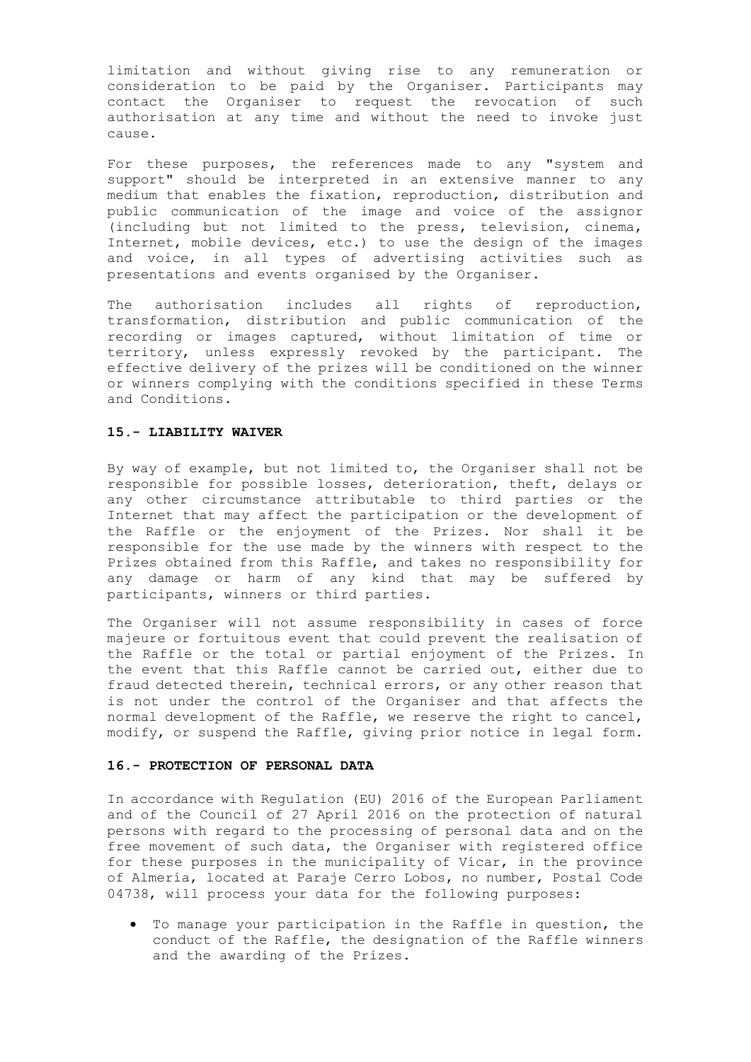limitation and without giving rise to any remuneration or consideration to be paid by the Organiser. Participants may contact the Organiser to request the revocation of such authorisation at any time and without the need to invoke just cause.

For these purposes, the references made to any "system and support" should be interpreted in an extensive manner to any medium that enables the fixation, reproduction, distribution and public communication of the image and voice of the assignor .<br>(including but not limited to the press, television, cinema, Internet, mobile devices, etc.) to use the design of the images and voice, in all types of advertising activities such as presentations and events organised by the Organiser.

The authorisation includes all rights of reproduction, transformation, distribution and public communication of the recording or images captured, without limitation of time or territory, unless expressly revoked by the participant. The effective delivery of the prizes will be conditioned on the winner or winners complying with the conditions specified in these Terms and Conditions.

### **15.- LIABILITY WAIVER**

By way of example, but not limited to, the Organiser shall not be responsible for possible losses, deterioration, theft, delays or any other circumstance attributable to third parties or the Internet that may affect the participation or the development of the Raffle or the enjoyment of the Prizes. Nor shall it be responsible for the use made by the winners with respect to the Prizes obtained from this Raffle, and takes no responsibility for any damage or harm of any kind that may be suffered by participants, winners or third parties.

The Organiser will not assume responsibility in cases of force majeure or fortuitous event that could prevent the realisation of the Raffle or the total or partial enjoyment of the Prizes. In the event that this Raffle cannot be carried out, either due to fraud detected therein, technical errors, or any other reason that is not under the control of the Organiser and that affects the normal development of the Raffle, we reserve the right to cancel, modify, or suspend the Raffle, giving prior notice in legal form.

# **16.- PROTECTION OF PERSONAL DATA**

In accordance with Regulation (EU) 2016 of the European Parliament and of the Council of 27 April 2016 on the protection of natural persons with regard to the processing of personal data and on the free movement of such data, the Organiser with registered office for these purposes in the municipality of Vícar, in the province of Almería, located at Paraje Cerro Lobos, no number, Postal Code 04738, will process your data for the following purposes:

 To manage your participation in the Raffle in question, the conduct of the Raffle, the designation of the Raffle winners and the awarding of the Prizes.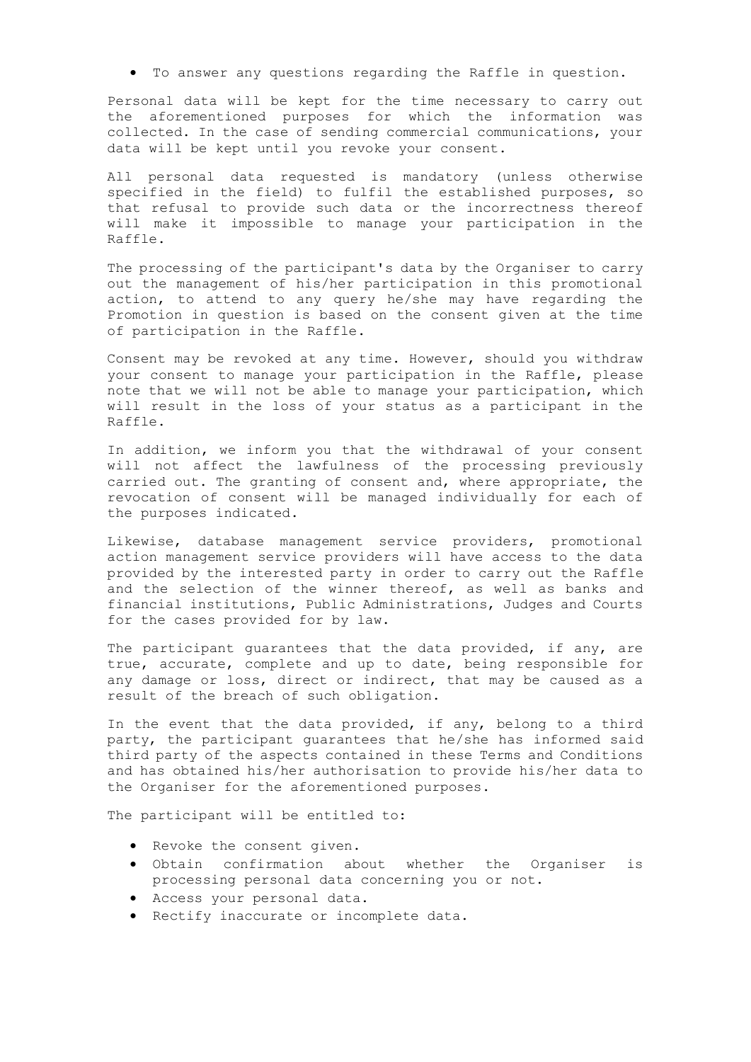To answer any questions regarding the Raffle in question.

Personal data will be kept for the time necessary to carry out the aforementioned purposes for which the information was collected. In the case of sending commercial communications, your data will be kept until you revoke your consent.

All personal data requested is mandatory (unless otherwise specified in the field) to fulfil the established purposes, so that refusal to provide such data or the incorrectness thereof will make it impossible to manage your participation in the Raffle.

The processing of the participant's data by the Organiser to carry out the management of his/her participation in this promotional action, to attend to any query he/she may have regarding the Promotion in question is based on the consent given at the time of participation in the Raffle.

Consent may be revoked at any time. However, should you withdraw your consent to manage your participation in the Raffle, please note that we will not be able to manage your participation, which will result in the loss of your status as a participant in the Raffle.

In addition, we inform you that the withdrawal of your consent will not affect the lawfulness of the processing previously carried out. The granting of consent and, where appropriate, the revocation of consent will be managed individually for each of the purposes indicated.

Likewise, database management service providers, promotional action management service providers will have access to the data provided by the interested party in order to carry out the Raffle and the selection of the winner thereof, as well as banks and financial institutions, Public Administrations, Judges and Courts for the cases provided for by law.

The participant quarantees that the data provided, if any, are true, accurate, complete and up to date, being responsible for any damage or loss, direct or indirect, that may be caused as a result of the breach of such obligation.

In the event that the data provided, if any, belong to a third party, the participant guarantees that he/she has informed said third party of the aspects contained in these Terms and Conditions and has obtained his/her authorisation to provide his/her data to the Organiser for the aforementioned purposes.

The participant will be entitled to:

- Revoke the consent given.
- Obtain confirmation about whether the Organiser is processing personal data concerning you or not.
- Access your personal data.
- Rectify inaccurate or incomplete data.